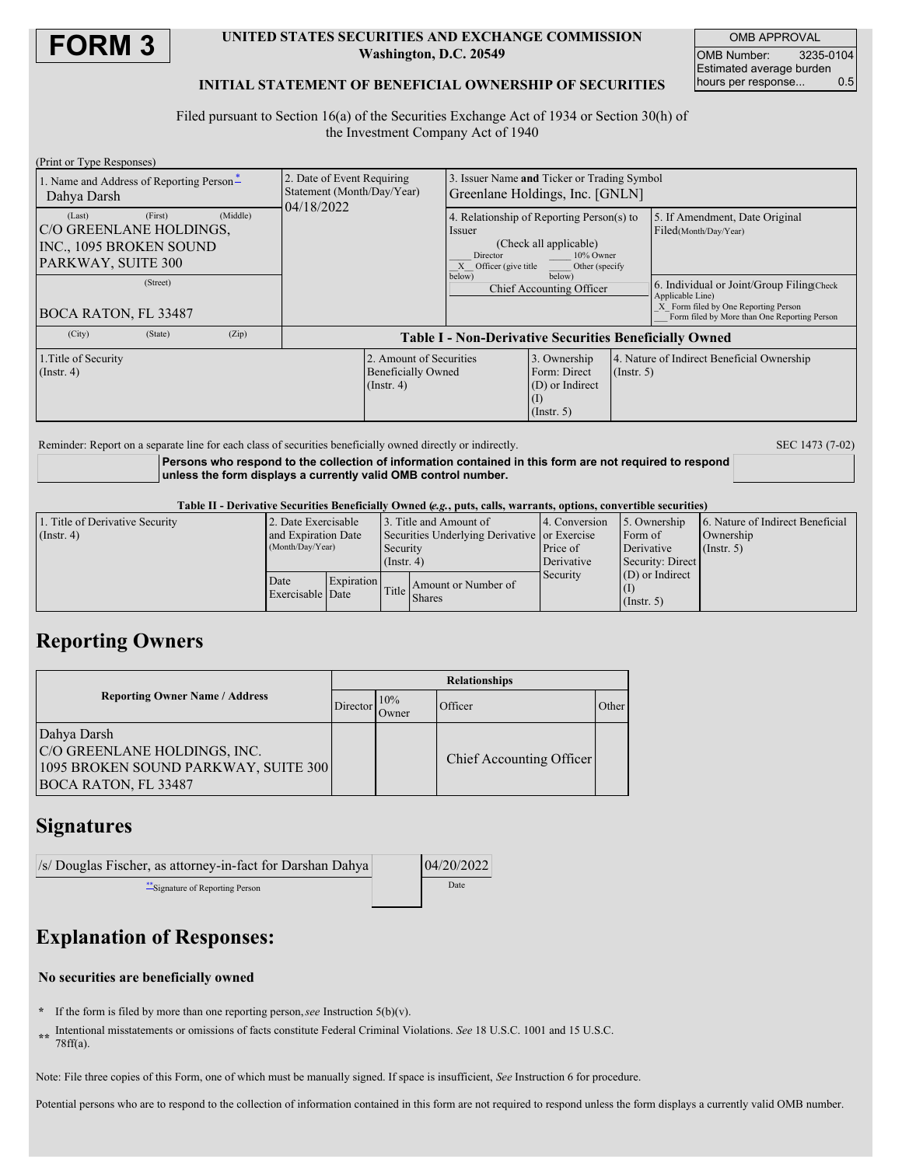

#### **UNITED STATES SECURITIES AND EXCHANGE COMMISSION Washington, D.C. 20549**

OMB APPROVAL OMB Number: 3235-0104 Estimated average burden<br>hours per response... 0.5 hours per response...

## **INITIAL STATEMENT OF BENEFICIAL OWNERSHIP OF SECURITIES**

Filed pursuant to Section 16(a) of the Securities Exchange Act of 1934 or Section 30(h) of the Investment Company Act of 1940

| (Print or Type Responses)                                                                                                                            |                                                                          |                                                                                |                                                                                                                                          |                  |                                                                                                                                                                                                                   |  |
|------------------------------------------------------------------------------------------------------------------------------------------------------|--------------------------------------------------------------------------|--------------------------------------------------------------------------------|------------------------------------------------------------------------------------------------------------------------------------------|------------------|-------------------------------------------------------------------------------------------------------------------------------------------------------------------------------------------------------------------|--|
| 1. Name and Address of Reporting Person-<br>Dahya Darsh                                                                                              | 2. Date of Event Requiring<br>Statement (Month/Day/Year)<br>04/18/2022   | 3. Issuer Name and Ticker or Trading Symbol<br>Greenlane Holdings, Inc. [GNLN] |                                                                                                                                          |                  |                                                                                                                                                                                                                   |  |
| (First)<br>(Middle)<br>(Last)<br>C/O GREENLANE HOLDINGS,<br>INC., 1095 BROKEN SOUND<br>PARKWAY, SUITE 300<br>(Street)<br><b>BOCA RATON, FL 33487</b> |                                                                          | Issuer<br>Director<br>X Officer (give title<br>below)                          | 4. Relationship of Reporting Person(s) to<br>(Check all applicable)<br>10% Owner<br>Other (specify<br>below)<br>Chief Accounting Officer |                  | 5. If Amendment, Date Original<br>Filed(Month/Day/Year)<br>6. Individual or Joint/Group Filing(Check)<br>Applicable Line)<br>X Form filed by One Reporting Person<br>Form filed by More than One Reporting Person |  |
| (City)<br>(Zip)<br>(State)                                                                                                                           | <b>Table I - Non-Derivative Securities Beneficially Owned</b>            |                                                                                |                                                                                                                                          |                  |                                                                                                                                                                                                                   |  |
| 1. Title of Security<br>$($ Instr. 4 $)$                                                                                                             | 2. Amount of Securities<br><b>Beneficially Owned</b><br>$($ Instr. 4 $)$ |                                                                                | 3. Ownership<br>Form: Direct<br>(D) or Indirect<br>$\left(1\right)$<br>$($ Instr. 5 $)$                                                  | $($ Instr. 5 $)$ | 4. Nature of Indirect Beneficial Ownership                                                                                                                                                                        |  |

Reminder: Report on a separate line for each class of securities beneficially owned directly or indirectly. SEC 1473 (7-02)

**Persons who respond to the collection of information contained in this form are not required to respond unless the form displays a currently valid OMB control number.**

#### Table II - Derivative Securities Beneficially Owned (e.g., puts, calls, warrants, options, convertible securities)

| 1. Title of Derivative Security | 2. Date Exercisable                     |            |                                              | 3. Title and Amount of | 4. Conversion | 5. Ownership      | 6. Nature of Indirect Beneficial |
|---------------------------------|-----------------------------------------|------------|----------------------------------------------|------------------------|---------------|-------------------|----------------------------------|
| $($ Instr. 4 $)$                | and Expiration Date<br>(Month/Day/Year) |            | Securities Underlying Derivative or Exercise |                        |               | Form of           | Ownership                        |
|                                 |                                         |            | Security                                     |                        | Price of      | Derivative        | $($ Instr. 5 $)$                 |
|                                 |                                         |            | $($ Instr. 4)                                |                        | Derivative    | Security: Direct  |                                  |
|                                 | Date                                    | Expiration |                                              |                        | Security      | $(D)$ or Indirect |                                  |
|                                 | Exercisable Date                        |            | Title Shares                                 | Amount or Number of    |               |                   |                                  |
|                                 |                                         |            |                                              |                        |               | (Insert, 5)       |                                  |

## **Reporting Owners**

|                                                                                                                    | <b>Relationships</b> |              |                          |       |  |  |
|--------------------------------------------------------------------------------------------------------------------|----------------------|--------------|--------------------------|-------|--|--|
| <b>Reporting Owner Name / Address</b>                                                                              |                      | 10%<br>Owner | Officer                  | Other |  |  |
| Dahya Darsh<br>C/O GREENLANE HOLDINGS, INC.<br>1095 BROKEN SOUND PARKWAY, SUITE 300<br><b>BOCA RATON, FL 33487</b> |                      |              | Chief Accounting Officer |       |  |  |

## **Signatures**

| /s/ Douglas Fischer, as attorney-in-fact for Darshan Dahya |  | 04/20/2022 |
|------------------------------------------------------------|--|------------|
| Signature of Reporting Person                              |  | Date       |

# **Explanation of Responses:**

## **No securities are beneficially owned**

- **\*** If the form is filed by more than one reporting person,*see* Instruction 5(b)(v).
- **\*\*** Intentional misstatements or omissions of facts constitute Federal Criminal Violations. *See* 18 U.S.C. 1001 and 15 U.S.C. 78ff(a).

Note: File three copies of this Form, one of which must be manually signed. If space is insufficient, *See* Instruction 6 for procedure.

Potential persons who are to respond to the collection of information contained in this form are not required to respond unless the form displays a currently valid OMB number.